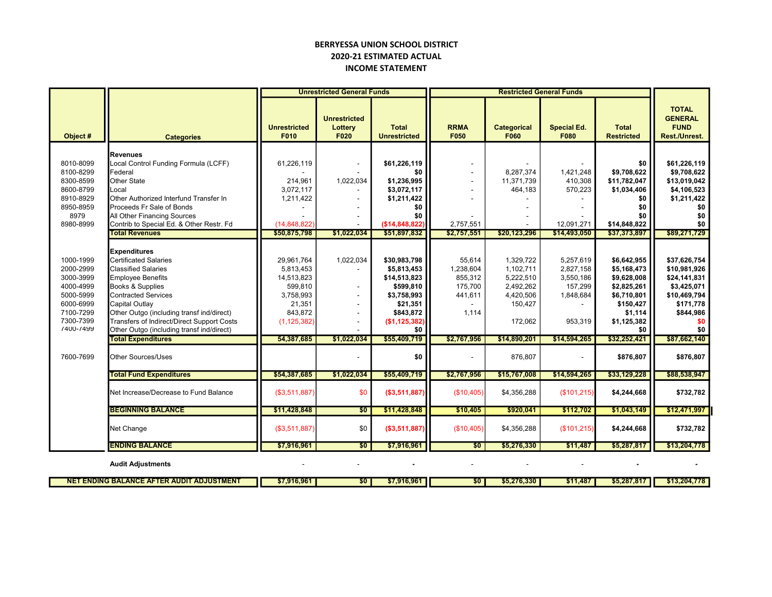## BERRYESSA UNION SCHOOL DISTRICT 2020-21 ESTIMATED ACTUAL INCOME STATEMENT

|                                                  |                                            | <b>Unrestricted General Funds</b> |                                        |                                     | <b>Restricted General Funds</b> |                            |                            |                                   |                                                                |
|--------------------------------------------------|--------------------------------------------|-----------------------------------|----------------------------------------|-------------------------------------|---------------------------------|----------------------------|----------------------------|-----------------------------------|----------------------------------------------------------------|
| Object #                                         | <b>Categories</b>                          | <b>Unrestricted</b><br>F010       | <b>Unrestricted</b><br>Lottery<br>F020 | <b>Total</b><br><b>Unrestricted</b> | <b>RRMA</b><br>F050             | <b>Categorical</b><br>F060 | <b>Special Ed.</b><br>F080 | <b>Total</b><br><b>Restricted</b> | <b>TOTAL</b><br><b>GENERAL</b><br><b>FUND</b><br>Rest./Unrest. |
|                                                  |                                            |                                   |                                        |                                     |                                 |                            |                            |                                   |                                                                |
|                                                  | <b>Revenues</b>                            |                                   |                                        |                                     |                                 |                            |                            |                                   |                                                                |
| 8010-8099                                        | Local Control Funding Formula (LCFF)       | 61,226,119                        |                                        | \$61,226,119                        |                                 |                            |                            | \$0                               | \$61,226,119                                                   |
| 8100-8299<br>8300-8599                           | Federal<br><b>Other State</b>              | 214,961                           |                                        | \$0                                 |                                 | 8.287.374                  | 1,421,248<br>410,308       | \$9,708,622                       | \$9,708,622                                                    |
| 8600-8799                                        | Local                                      | 3,072,117                         | 1,022,034                              | \$1,236,995<br>\$3,072,117          |                                 | 11,371,739<br>464,183      | 570,223                    | \$11,782,047<br>\$1,034,406       | \$13,019,042<br>\$4,106,523                                    |
| 8910-8929                                        | Other Authorized Interfund Transfer In     |                                   |                                        |                                     |                                 |                            |                            |                                   |                                                                |
| 8950-8959                                        | Proceeds Fr Sale of Bonds                  | 1,211,422                         |                                        | \$1,211,422<br>\$0                  |                                 |                            |                            | \$0<br>\$0                        | \$1,211,422<br>\$0                                             |
| 8979                                             | All Other Financing Sources                |                                   |                                        | \$0                                 |                                 |                            |                            | \$0                               | \$0                                                            |
| 8980-8999                                        | Contrib to Special Ed. & Other Restr. Fd   | (14, 848, 822)                    |                                        | (\$14,848,822)                      | 2,757,551                       |                            | 12,091,271                 | \$14,848,822                      | \$0                                                            |
|                                                  | <b>Total Revenues</b>                      | \$50,875,798                      | \$1.022.034                            | \$51,897,832                        | \$2,757,551                     | \$20.123.296               | \$14,493,050               | \$37,373,897                      | \$89,271,729                                                   |
|                                                  |                                            |                                   |                                        |                                     |                                 |                            |                            |                                   |                                                                |
|                                                  | <b>Expenditures</b>                        |                                   |                                        |                                     |                                 |                            |                            |                                   |                                                                |
| 1000-1999                                        | <b>Certificated Salaries</b>               | 29,961,764                        | 1,022,034                              | \$30,983,798                        | 55,614                          | 1,329,722                  | 5,257,619                  | \$6,642,955                       | \$37,626,754                                                   |
| 2000-2999                                        | <b>Classified Salaries</b>                 | 5,813,453                         |                                        | \$5,813,453                         | 1,238,604                       | 1,102,711                  | 2,827,158                  | \$5,168,473                       | \$10,981,926                                                   |
| 3000-3999                                        | <b>Employee Benefits</b>                   | 14,513,823                        |                                        | \$14,513,823                        | 855,312                         | 5,222,510                  | 3,550,186                  | \$9,628,008                       | \$24,141,831                                                   |
| 4000-4999                                        | Books & Supplies                           | 599.810                           |                                        | \$599.810                           | 175,700                         | 2,492,262                  | 157.299                    | \$2.825.261                       | \$3,425,071                                                    |
| 5000-5999                                        | <b>Contracted Services</b>                 | 3,758,993                         |                                        | \$3,758,993                         | 441,611                         | 4,420,506                  | 1,848,684                  | \$6,710,801                       | \$10,469,794                                                   |
| 6000-6999                                        | Capital Outlay                             | 21,351                            |                                        | \$21,351                            |                                 | 150,427                    |                            | \$150,427                         | \$171,778                                                      |
| 7100-7299                                        | Other Outgo (including transf ind/direct)  | 843,872                           |                                        | \$843,872                           | 1.114                           |                            |                            | \$1,114                           | \$844,986                                                      |
| 7300-7399                                        | Transfers of Indirect/Direct Support Costs | (1, 125, 382)                     |                                        | (\$1,125,382)                       |                                 | 172,062                    | 953,319                    | \$1,125,382                       |                                                                |
| 7400-7499                                        | Other Outgo (including transf ind/direct)  |                                   |                                        | \$0                                 |                                 |                            |                            | \$0                               | \$0                                                            |
|                                                  | <b>Total Expenditures</b>                  | 54,387,685                        | \$1,022,034                            | \$55,409,719                        | \$2,767,956                     | \$14,890,201               | \$14,594,265               | \$32,252,421                      | \$87,662,140                                                   |
|                                                  |                                            |                                   |                                        |                                     |                                 |                            |                            |                                   |                                                                |
| 7600-7699                                        | Other Sources/Uses                         |                                   |                                        | \$0                                 |                                 | 876,807                    | $\overline{a}$             | \$876,807                         | \$876,807                                                      |
|                                                  | <b>Total Fund Expenditures</b>             | \$54,387,685                      | \$1.022.034                            | \$55,409,719                        | \$2,767,956                     | \$15,767,008               | \$14,594,265               | \$33,129,228                      | \$88,538,947                                                   |
|                                                  | Net Increase/Decrease to Fund Balance      | (\$3,511,887)                     | \$0                                    | ( \$3,511,887)                      | (\$10,405)                      | \$4,356,288                | (\$101,215)                | \$4,244,668                       | \$732,782                                                      |
|                                                  | <b>BEGINNING BALANCE</b>                   | \$11,428,848                      | \$0                                    | \$11,428,848                        | \$10,405                        | \$920,041                  | \$112,702                  | \$1,043,149                       | \$12,471,997                                                   |
|                                                  | Net Change                                 | (\$3,511,887)                     | \$0                                    | ( \$3,511,887)                      | (\$10,405)                      | \$4,356,288                | (\$101, 215)               | \$4,244,668                       | \$732,782                                                      |
|                                                  | <b>ENDING BALANCE</b>                      | \$7,916,961                       | \$0                                    | \$7,916,961                         | \$0                             | \$5,276,330                | \$11,487                   | \$5,287,817                       | \$13,204,778                                                   |
|                                                  | <b>Audit Adjustments</b>                   |                                   |                                        |                                     |                                 |                            |                            |                                   |                                                                |
| <b>NET ENDING BALANCE AFTER AUDIT ADJUSTMENT</b> |                                            | \$7,916,961                       | \$0 <sub>1</sub>                       | \$7,916,961                         | \$0                             | \$5,276,330                | \$11,487                   | \$5,287,817                       | \$13,204,778                                                   |